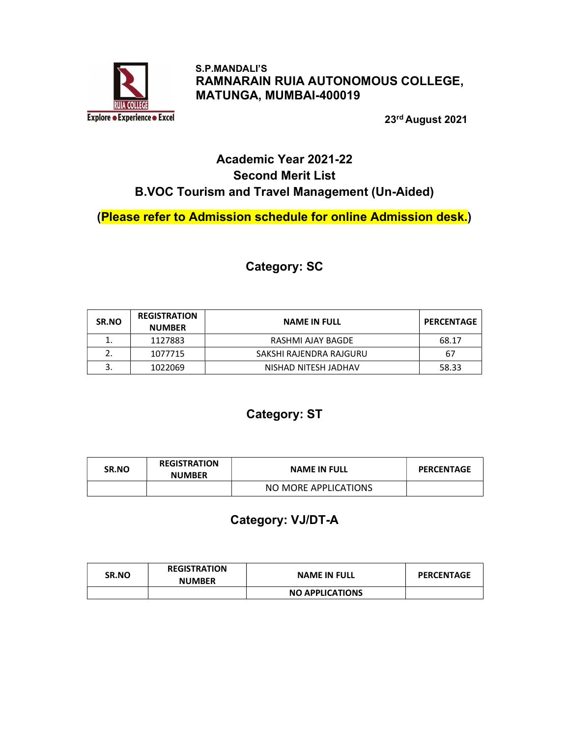

 S.P.MANDALI'S RAMNARAIN RUIA AUTONOMOUS COLLEGE, MATUNGA, MUMBAI-400019

23rd August 2021

### Academic Year 2021-22 Second Merit List B.VOC Tourism and Travel Management (Un-Aided)

(Please refer to Admission schedule for online Admission desk.)

#### Category: SC

| SR.NO | <b>REGISTRATION</b><br><b>NUMBER</b> | <b>NAME IN FULL</b>     | <b>PERCENTAGE</b> |
|-------|--------------------------------------|-------------------------|-------------------|
| 1.    | 1127883                              | RASHMI AJAY BAGDE       | 68.17             |
|       | 1077715                              | SAKSHI RAJENDRA RAJGURU | 67                |
| 3.    | 1022069                              | NISHAD NITESH JADHAV    | 58.33             |

#### Category: ST

| <b>SR.NO</b> | <b>REGISTRATION</b><br><b>NUMBER</b> | <b>NAME IN FULL</b>  | <b>PERCENTAGE</b> |
|--------------|--------------------------------------|----------------------|-------------------|
|              |                                      | NO MORE APPLICATIONS |                   |

### Category: VJ/DT-A

| <b>SR.NO</b> | <b>REGISTRATION</b><br><b>NUMBER</b> | <b>NAME IN FULL</b>    | <b>PERCENTAGE</b> |
|--------------|--------------------------------------|------------------------|-------------------|
|              |                                      | <b>NO APPLICATIONS</b> |                   |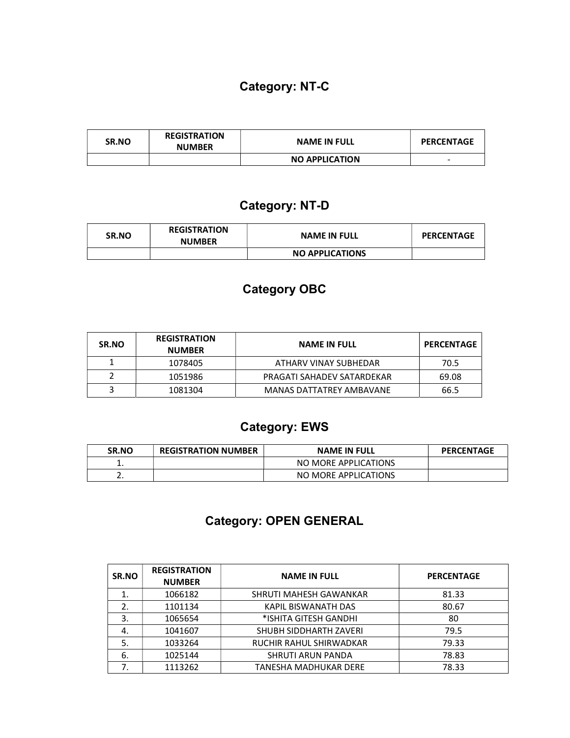## Category: NT-C

| <b>SR.NO</b> | <b>REGISTRATION</b><br><b>NUMBER</b> | <b>NAME IN FULL</b>   | <b>PERCENTAGE</b> |
|--------------|--------------------------------------|-----------------------|-------------------|
|              |                                      | <b>NO APPLICATION</b> | -                 |

### Category: NT-D

| SR.NO | <b>REGISTRATION</b><br><b>NUMBER</b> | <b>NAME IN FULL</b>    | <b>PERCENTAGE</b> |
|-------|--------------------------------------|------------------------|-------------------|
|       |                                      | <b>NO APPLICATIONS</b> |                   |

### Category OBC

| <b>SR.NO</b> | <b>REGISTRATION</b><br><b>NUMBER</b> | <b>NAME IN FULL</b>        | <b>PERCENTAGE</b> |
|--------------|--------------------------------------|----------------------------|-------------------|
|              | 1078405                              | ATHARV VINAY SUBHEDAR      | 70.5              |
|              | 1051986                              | PRAGATI SAHADEV SATARDEKAR | 69.08             |
|              | 1081304                              | MANAS DATTATREY AMBAVANE   | 66.5              |

## Category: EWS

| <b>SR.NO</b> | <b>REGISTRATION NUMBER</b> | <b>NAME IN FULL</b>  | <b>PERCENTAGE</b> |
|--------------|----------------------------|----------------------|-------------------|
|              |                            | NO MORE APPLICATIONS |                   |
| <u>. . </u>  |                            | NO MORE APPLICATIONS |                   |

# Category: OPEN GENERAL

| SR.NO | <b>REGISTRATION</b><br><b>NUMBER</b> | <b>NAME IN FULL</b>      | <b>PERCENTAGE</b> |
|-------|--------------------------------------|--------------------------|-------------------|
|       | 1066182                              | SHRUTI MAHESH GAWANKAR   | 81.33             |
| 2.    | 1101134                              | KAPIL BISWANATH DAS      | 80.67             |
| 3.    | 1065654                              | *ISHITA GITESH GANDHI    | 80                |
| 4.    | 1041607                              | SHUBH SIDDHARTH ZAVERI   | 79.5              |
| 5.    | 1033264                              | RUCHIR RAHUL SHIRWADKAR  | 79.33             |
| 6.    | 1025144                              | <b>SHRUTI ARUN PANDA</b> | 78.83             |
| 7.    | 1113262                              | TANESHA MADHUKAR DERE    | 78.33             |